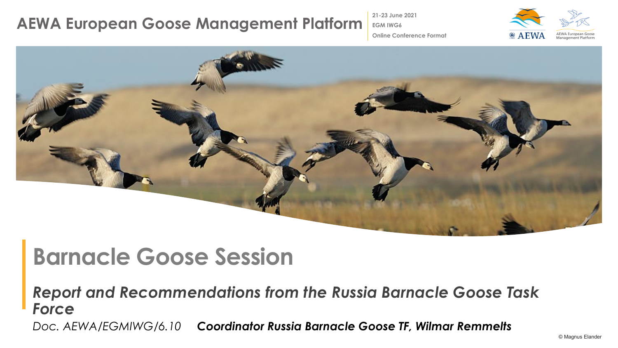#### **AEWA European Goose Management Platform**

**21-23 June 2021 EGM IWG6**



**Online Conference Format**



# **Barnacle Goose Session**

*Report and Recommendations from the Russia Barnacle Goose Task Force*

*Doc. AEWA/EGMIWG/6.10 Coordinator Russia Barnacle Goose TF, Wilmar Remmelts*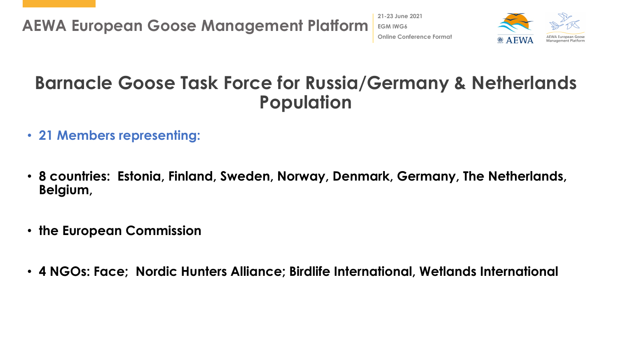

### **Barnacle Goose Task Force for Russia/Germany & Netherlands Population**

- **21 Members representing:**
- **8 countries: Estonia, Finland, Sweden, Norway, Denmark, Germany, The Netherlands, Belgium,**
- **the European Commission**
- **4 NGOs: Face; Nordic Hunters Alliance; Birdlife International, Wetlands International**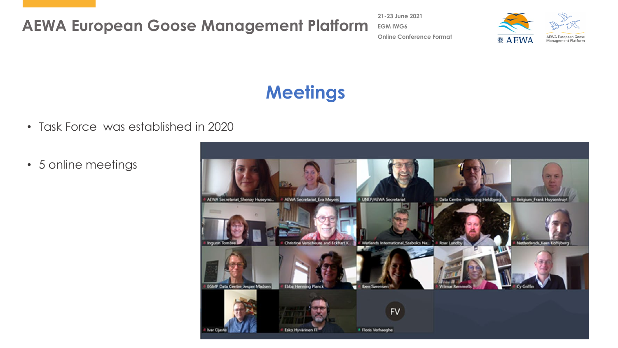**AEWA European Goose Management Platform**

**21-23 June 2021 EGM IWG6 Online Conference Format**



# **Meetings**

- Task Force was established in 2020
- 5 online meetings

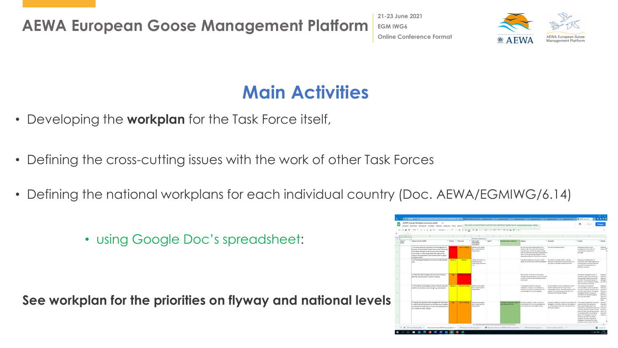**AEWA European Goose Management Platform**

**21-23 June 2021 EGM IWG6 Online Conference Format**



# **Main Activities**

- Developing the **workplan** for the Task Force itself,
- Defining the cross-cutting issues with the work of other Task Forces
- Defining the national workplans for each individual country (Doc. AEWA/EGMIWG/6.14)
	- using Google Doc's spreadsheet:

**See workplan for the priorities on flyway and national levels**

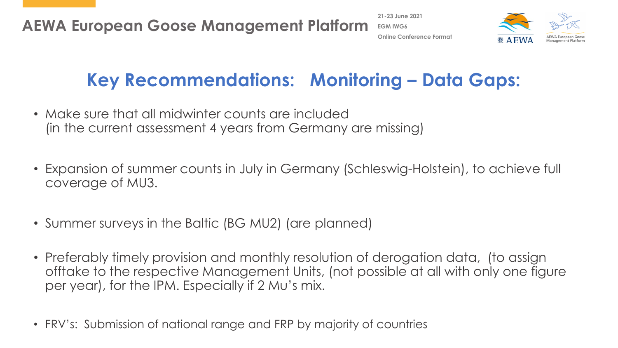

### **Key Recommendations: Monitoring – Data Gaps:**

- Make sure that all midwinter counts are included (in the current assessment 4 years from Germany are missing)
- Expansion of summer counts in July in Germany (Schleswig-Holstein), to achieve full coverage of MU3.
- Summer surveys in the Baltic (BG MU2) (are planned)
- Preferably timely provision and monthly resolution of derogation data, (to assign offtake to the respective Management Units, (not possible at all with only one figure per year), for the IPM. Especially if 2 Mu's mix.
- FRV's: Submission of national range and FRP by majority of countries